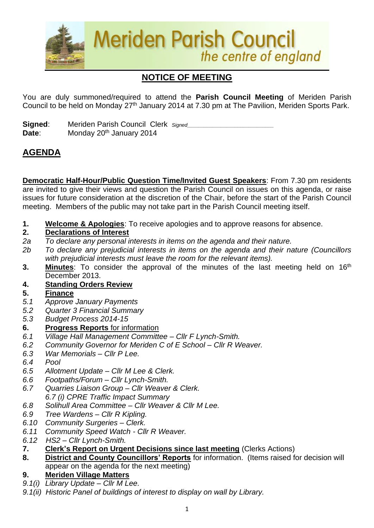

# **NOTICE OF MEETING**

You are duly summoned/required to attend the **Parish Council Meeting** of Meriden Parish Council to be held on Monday 27th January 2014 at 7.30 pm at The Pavilion, Meriden Sports Park.

**Signed:** Meriden Parish Council Clerk *Signed* Date: Monday 20<sup>th</sup> January 2014

## **AGENDA**

**Democratic Half-Hour/Public Question Time/Invited Guest Speakers**: From 7.30 pm residents are invited to give their views and question the Parish Council on issues on this agenda, or raise issues for future consideration at the discretion of the Chair, before the start of the Parish Council meeting. Members of the public may not take part in the Parish Council meeting itself.

**1. Welcome & Apologies**: To receive apologies and to approve reasons for absence.

#### **2. Declarations of Interest**

- *2a To declare any personal interests in items on the agenda and their nature.*
- *2b To declare any prejudicial interests in items on the agenda and their nature (Councillors with prejudicial interests must leave the room for the relevant items).*
- **3.** Minutes: To consider the approval of the minutes of the last meeting held on 16<sup>th</sup> December 2013.
- **4. Standing Orders Review**
- **5. Finance**
- *5.1 Approve January Payments*
- *5.2 Quarter 3 Financial Summary*
- *5.3 Budget Process 2014-15*

#### **6. Progress Reports** for information

- *6.1 Village Hall Management Committee – Cllr F Lynch-Smith.*
- *6.2 Community Governor for Meriden C of E School – Cllr R Weaver.*
- *6.3 War Memorials – Cllr P Lee.*
- *6.4 Pool*
- *6.5 Allotment Update – Cllr M Lee & Clerk.*
- *6.6 Footpaths/Forum – Cllr Lynch-Smith.*
- *6.7 Quarries Liaison Group – Cllr Weaver & Clerk. 6.7 (i) CPRE Traffic Impact Summary*
- *6.8 Solihull Area Committee – Cllr Weaver & Cllr M Lee.*
- *6.9 Tree Wardens – Cllr R Kipling.*
- *6.10 Community Surgeries – Clerk.*
- *6.11 Community Speed Watch - Cllr R Weaver.*
- *6.12 HS2 – Cllr Lynch-Smith.*
- **7. Clerk's Report on Urgent Decisions since last meeting** (Clerks Actions)
- **8. District and County Councillors' Reports** for information. (Items raised for decision will appear on the agenda for the next meeting)

#### **9. Meriden Village Matters**

- *9.1(i) Library Update – Cllr M Lee.*
- *9.1(ii) Historic Panel of buildings of interest to display on wall by Library.*